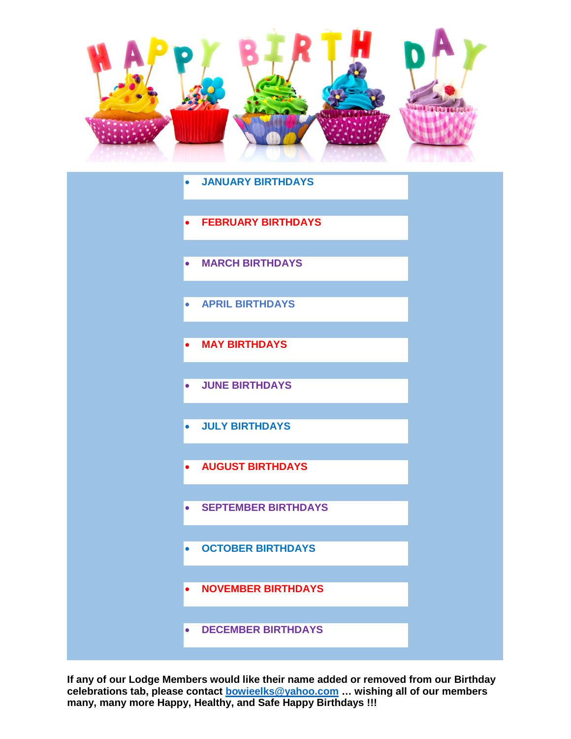<span id="page-0-0"></span>

|           | • JANUARY BIRTHDAYS        |  |
|-----------|----------------------------|--|
|           | <b>FEBRUARY BIRTHDAYS</b>  |  |
| $\bullet$ | <b>MARCH BIRTHDAYS</b>     |  |
| $\bullet$ | <b>APRIL BIRTHDAYS</b>     |  |
| $\bullet$ | <b>MAY BIRTHDAYS</b>       |  |
| $\bullet$ | <b>JUNE BIRTHDAYS</b>      |  |
| $\bullet$ | <b>JULY BIRTHDAYS</b>      |  |
| $\bullet$ | <b>AUGUST BIRTHDAYS</b>    |  |
| $\bullet$ | <b>SEPTEMBER BIRTHDAYS</b> |  |
| $\bullet$ | <b>OCTOBER BIRTHDAYS</b>   |  |
| $\bullet$ | <b>NOVEMBER BIRTHDAYS</b>  |  |
| $\bullet$ | <b>DECEMBER BIRTHDAYS</b>  |  |

**If any of our Lodge Members would like their name added or removed from our Birthday celebrations tab, please contact [bowieelks@yahoo.com](mailto:bowieelks@yahoo.com) … wishing all of our members many, many more Happy, Healthy, and Safe Happy Birthdays !!!**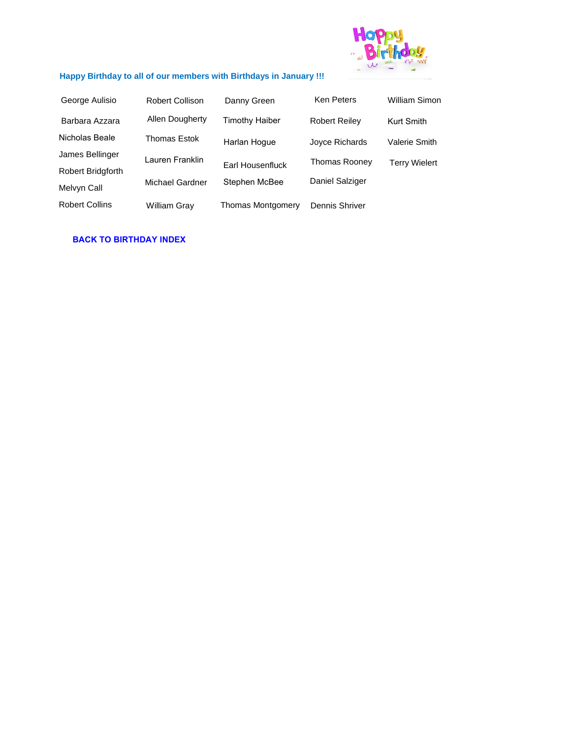

# <span id="page-1-0"></span>**Happy Birthday to all of our members with Birthdays in January !!!**

| George Aulisio           | <b>Robert Collison</b> | Danny Green              | Ken Peters           | William Simon        |
|--------------------------|------------------------|--------------------------|----------------------|----------------------|
| Barbara Azzara           | Allen Dougherty        | Timothy Haiber           | <b>Robert Reiley</b> | <b>Kurt Smith</b>    |
| Nicholas Beale           | <b>Thomas Estok</b>    | Harlan Hoque             | Joyce Richards       | Valerie Smith        |
| James Bellinger          | Lauren Franklin        |                          | Thomas Rooney        | <b>Terry Wielert</b> |
| <b>Robert Bridgforth</b> |                        | Earl Housenfluck         |                      |                      |
| Melvyn Call              | Michael Gardner        | Stephen McBee            | Daniel Salziger      |                      |
| <b>Robert Collins</b>    | <b>William Gray</b>    | <b>Thomas Montgomery</b> | Dennis Shriver       |                      |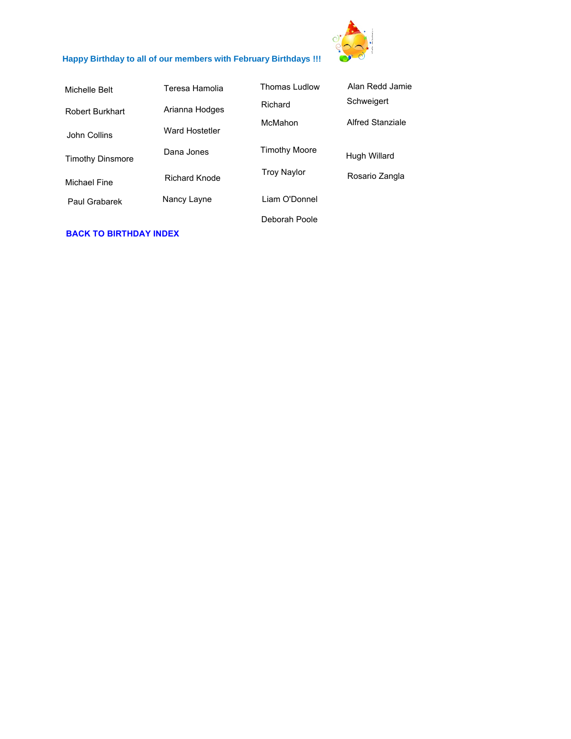

# <span id="page-2-0"></span>**[Happy Birthday to all of our members with February Birthdays !!!](#page-0-0)**

| Michelle Belt           | Teresa Hamolia | Thomas Ludlow        | Alan Redd Jamie  |
|-------------------------|----------------|----------------------|------------------|
| <b>Robert Burkhart</b>  | Arianna Hodges | Richard              | Schweigert       |
| John Collins            | Ward Hostetler | McMahon              | Alfred Stanziale |
| <b>Timothy Dinsmore</b> | Dana Jones     | <b>Timothy Moore</b> | Hugh Willard     |
| Michael Fine            | Richard Knode  | <b>Troy Naylor</b>   | Rosario Zangla   |
| Paul Grabarek           | Nancy Layne    | Liam O'Donnel        |                  |
|                         |                | Deborah Poole        |                  |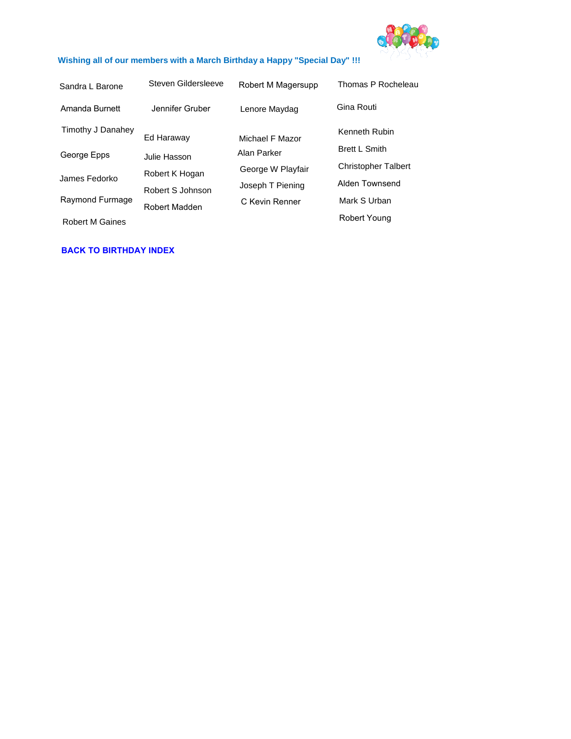

### <span id="page-3-0"></span>**Wishing all of our members with a March Birthday a Happy "Special Day" !!!**

| Sandra L Barone        | Steven Gildersleeve | Robert M Magersupp | Thomas P Rocheleau         |
|------------------------|---------------------|--------------------|----------------------------|
| Amanda Burnett         | Jennifer Gruber     | Lenore Maydag      | Gina Routi                 |
| Timothy J Danahey      | Ed Haraway          | Michael F Mazor    | Kenneth Rubin              |
| George Epps            | Julie Hasson        | Alan Parker        | <b>Brett L Smith</b>       |
|                        | Robert K Hogan      | George W Playfair  | <b>Christopher Talbert</b> |
| James Fedorko          | Robert S Johnson    | Joseph T Piening   | Alden Townsend             |
| Raymond Furmage        | Robert Madden       | C Kevin Renner     | Mark S Urban               |
| <b>Robert M Gaines</b> |                     |                    | Robert Young               |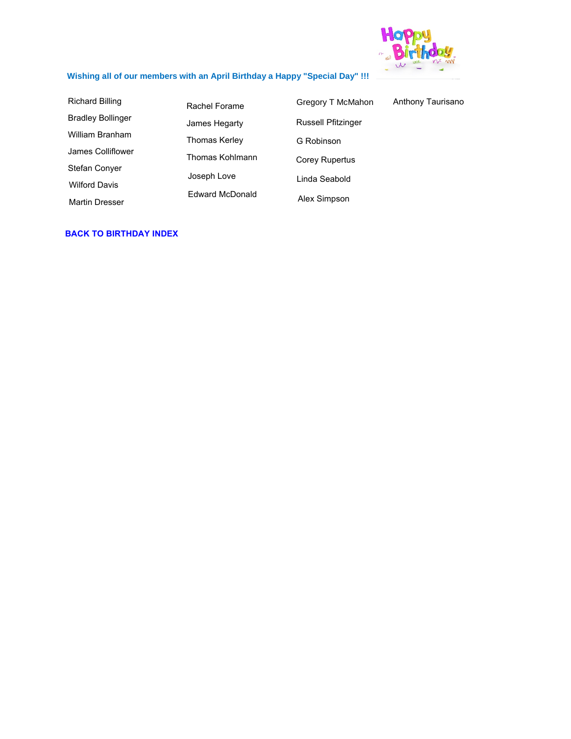

# <span id="page-4-0"></span>**Wishing all of our members with an April Birthday a Happy "Special Day" !!!**

| <b>Richard Billing</b>   | Rachel Forame          | Gregory T McMahon         | Anthony Taurisano |
|--------------------------|------------------------|---------------------------|-------------------|
| <b>Bradley Bollinger</b> | James Hegarty          | <b>Russell Pfitzinger</b> |                   |
| William Branham          | Thomas Kerley          | G Robinson                |                   |
| James Colliflower        | Thomas Kohlmann        | <b>Corey Rupertus</b>     |                   |
| <b>Stefan Conver</b>     | Joseph Love            | Linda Seabold             |                   |
| <b>Wilford Davis</b>     | <b>Edward McDonald</b> |                           |                   |
| <b>Martin Dresser</b>    |                        | Alex Simpson              |                   |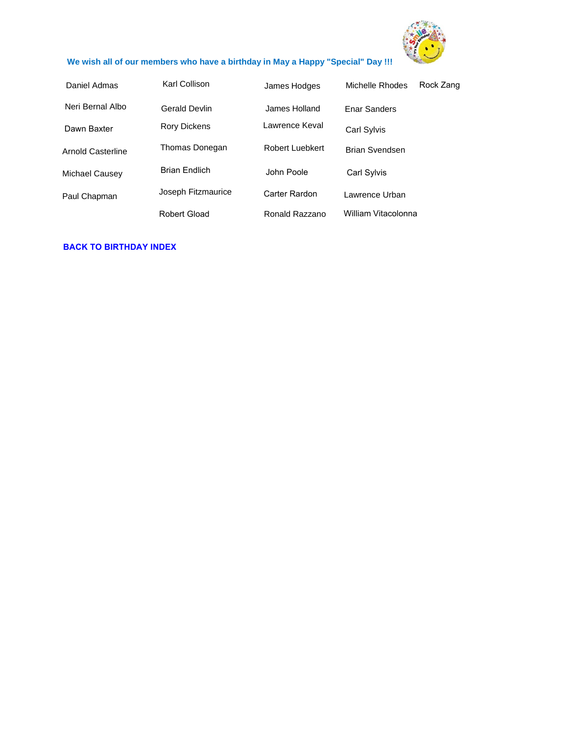

### <span id="page-5-0"></span>**We wish all of our members who have a birthday in May a Happy "Special" Day !!!**

| Daniel Admas      | Karl Collison        | James Hodges    | Michelle Rhodes     | Rock Zang |
|-------------------|----------------------|-----------------|---------------------|-----------|
| Neri Bernal Albo  | Gerald Devlin        | James Holland   | Enar Sanders        |           |
| Dawn Baxter       | Rory Dickens         | Lawrence Keval  | Carl Sylvis         |           |
| Arnold Casterline | Thomas Donegan       | Robert Luebkert | Brian Svendsen      |           |
| Michael Causey    | <b>Brian Fndlich</b> | John Poole      | Carl Sylvis         |           |
| Paul Chapman      | Joseph Fitzmaurice   | Carter Rardon   | Lawrence Urban      |           |
|                   | Robert Gload         | Ronald Razzano  | William Vitacolonna |           |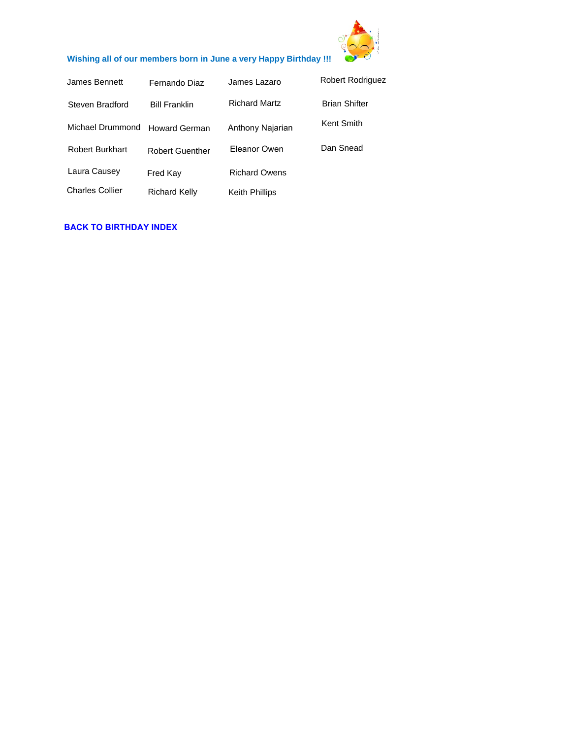

# <span id="page-6-0"></span>**Wishing all of our members born in June a very Happy Birthday !!!**

| James Bennett          | Fernando Diaz          | James Lazaro          | <b>Robert Rodriguez</b> |
|------------------------|------------------------|-----------------------|-------------------------|
| Steven Bradford        | <b>Bill Franklin</b>   | <b>Richard Martz</b>  | <b>Brian Shifter</b>    |
| Michael Drummond       | <b>Howard German</b>   | Anthony Najarian      | Kent Smith              |
| <b>Robert Burkhart</b> | <b>Robert Guenther</b> | Eleanor Owen          | Dan Snead               |
| Laura Causey           | Fred Kay               | <b>Richard Owens</b>  |                         |
| <b>Charles Collier</b> | <b>Richard Kelly</b>   | <b>Keith Phillips</b> |                         |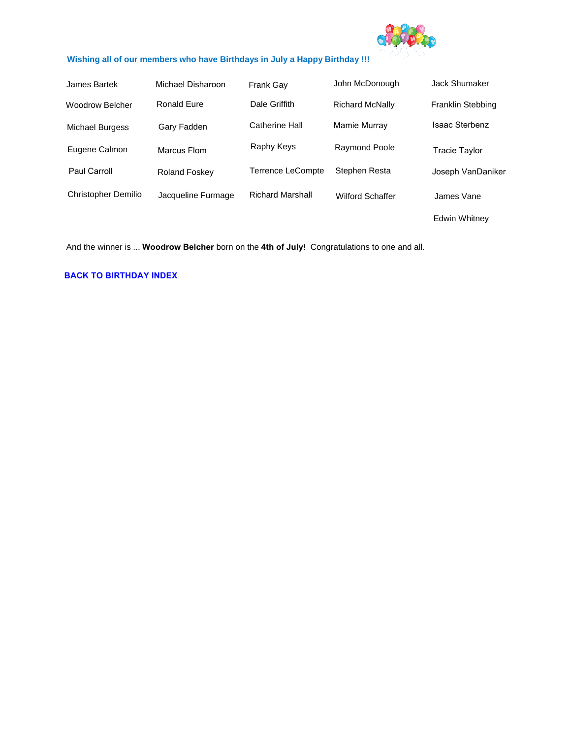

#### <span id="page-7-0"></span>**Wishing all of our members who have Birthdays in July a Happy Birthday !!!**

| James Bartek               | Michael Disharoon    | <b>Frank Gay</b>         | John McDonough          | Jack Shumaker         |
|----------------------------|----------------------|--------------------------|-------------------------|-----------------------|
| Woodrow Belcher            | <b>Ronald Eure</b>   | Dale Griffith            | <b>Richard McNally</b>  | Franklin Stebbing     |
| <b>Michael Burgess</b>     | Gary Fadden          | Catherine Hall           | Mamie Murray            | <b>Isaac Sterbenz</b> |
| Eugene Calmon              | Marcus Flom          | Raphy Keys               | Raymond Poole           | Tracie Taylor         |
| Paul Carroll               | <b>Roland Foskey</b> | <b>Terrence LeCompte</b> | Stephen Resta           | Joseph VanDaniker     |
| <b>Christopher Demilio</b> | Jacqueline Furmage   | <b>Richard Marshall</b>  | <b>Wilford Schaffer</b> | James Vane            |
|                            |                      |                          |                         | <b>Edwin Whitnev</b>  |

And the winner is ... **Woodrow Belcher** born on the **4th of July**! Congratulations to one and all.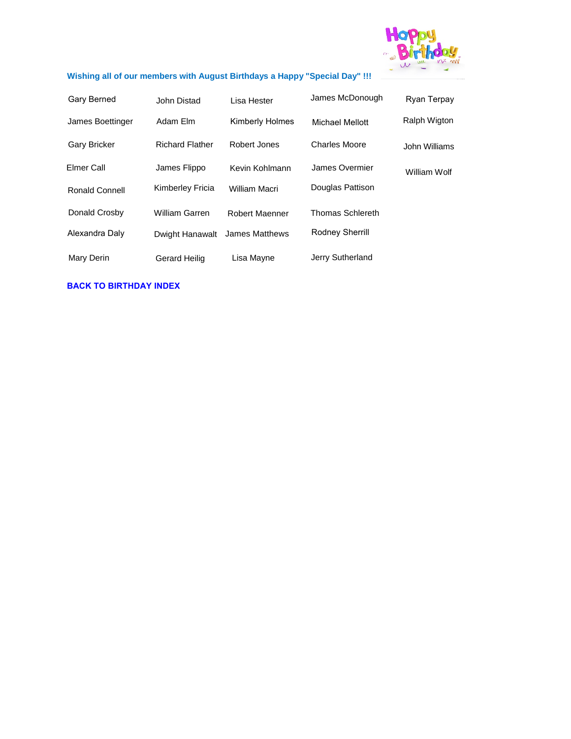

# <span id="page-8-0"></span>**Wishing all of our members with August Birthdays a Happy "Special Day" !!!**

| Gary Berned           | John Distad            | Lisa Hester            | James McDonough      | Ryan Terpay         |
|-----------------------|------------------------|------------------------|----------------------|---------------------|
| James Boettinger      | Adam Elm               | <b>Kimberly Holmes</b> | Michael Mellott      | <b>Ralph Wigton</b> |
| <b>Gary Bricker</b>   | <b>Richard Flather</b> | Robert Jones           | <b>Charles Moore</b> | John Williams       |
| Elmer Call            | James Flippo           | Kevin Kohlmann         | James Overmier       | William Wolf        |
| <b>Ronald Connell</b> | Kimberley Fricia       | William Macri          | Douglas Pattison     |                     |
| Donald Crosby         | <b>William Garren</b>  | Robert Maenner         | Thomas Schlereth     |                     |
| Alexandra Daly        | Dwight Hanawalt        | James Matthews         | Rodney Sherrill      |                     |
| Mary Derin            | Gerard Heilig          | Lisa Mayne             | Jerry Sutherland     |                     |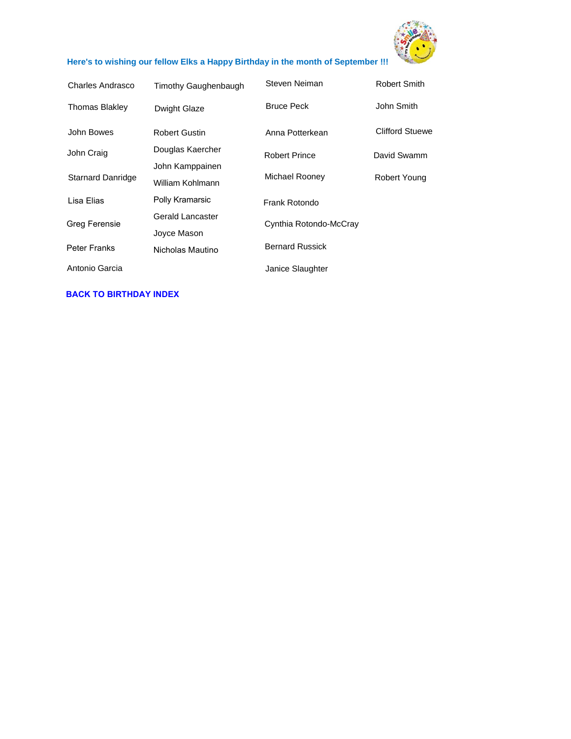

# <span id="page-9-0"></span>**Here's to wishing our fellow Elks a Happy Birthday in the month of September !!!**

| Charles Andrasco  | Timothy Gaughenbaugh                | Steven Neiman          | <b>Robert Smith</b>    |
|-------------------|-------------------------------------|------------------------|------------------------|
| Thomas Blakley    | Dwight Glaze                        | <b>Bruce Peck</b>      | John Smith             |
| John Bowes        | <b>Robert Gustin</b>                | Anna Potterkean        | <b>Clifford Stuewe</b> |
| John Craig        | Douglas Kaercher                    | <b>Robert Prince</b>   | David Swamm            |
| Starnard Danridge | John Kamppainen<br>William Kohlmann | Michael Rooney         | Robert Young           |
| Lisa Elias        | Polly Kramarsic                     | Frank Rotondo          |                        |
| Greg Ferensie     | Gerald Lancaster                    | Cynthia Rotondo-McCray |                        |
|                   | Joyce Mason                         |                        |                        |
| Peter Franks      | Nicholas Mautino                    | <b>Bernard Russick</b> |                        |
| Antonio Garcia    |                                     | Janice Slaughter       |                        |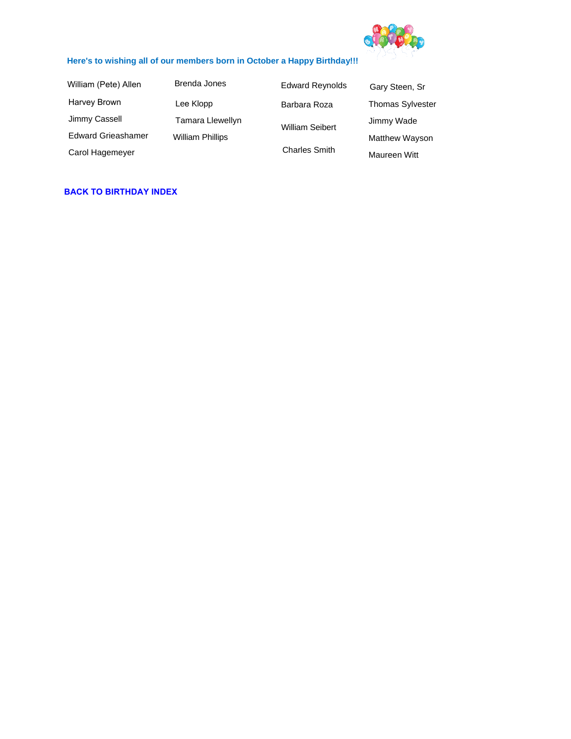

#### <span id="page-10-0"></span>**Here's to wishing all of our members born in October a Happy Birthday!!!**

Harvey Brown Jimmy Cassell Edward Grieashamer Carol Hagemeyer William (Pete) Allen

Brenda Jones Lee Klopp Tamara Llewellyn William Phillips

Barbara Roza Gary Steen, Sr Edward Reynolds William Seibert Charles Smith Thomas Sylvester Jimmy Wade Matthew Wayson Maureen Witt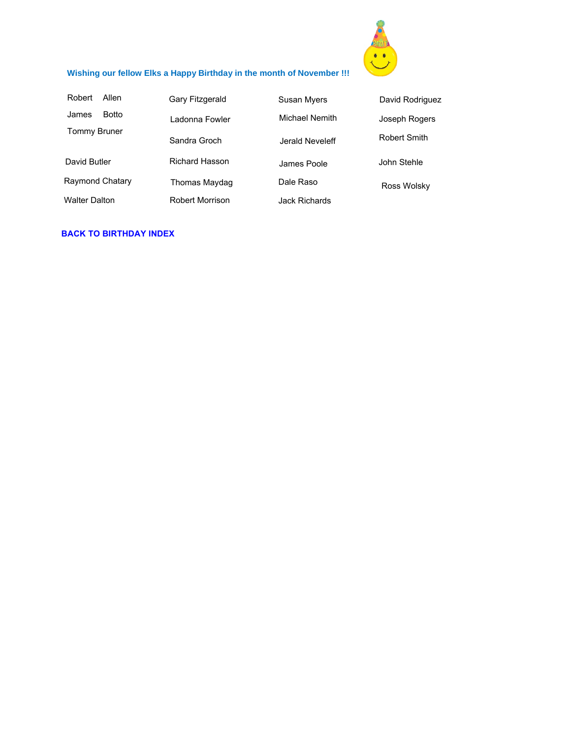

# <span id="page-11-0"></span>**Wishing our fellow Elks a Happy Birthday in the month of November !!!**

| Allen<br>Robert      | Gary Fitzgerald        | <b>Susan Myers</b> | David Rodriguez     |
|----------------------|------------------------|--------------------|---------------------|
| Botto<br>James       | I adonna Fowler        | Michael Nemith     | Joseph Rogers       |
| <b>Tommy Bruner</b>  | Sandra Groch           | Jerald Neveleff    | <b>Robert Smith</b> |
| David Butler         | <b>Richard Hasson</b>  | James Poole        | John Stehle         |
| Raymond Chatary      | Thomas Maydag          | Dale Raso          | Ross Wolsky         |
| <b>Walter Dalton</b> | <b>Robert Morrison</b> | Jack Richards      |                     |